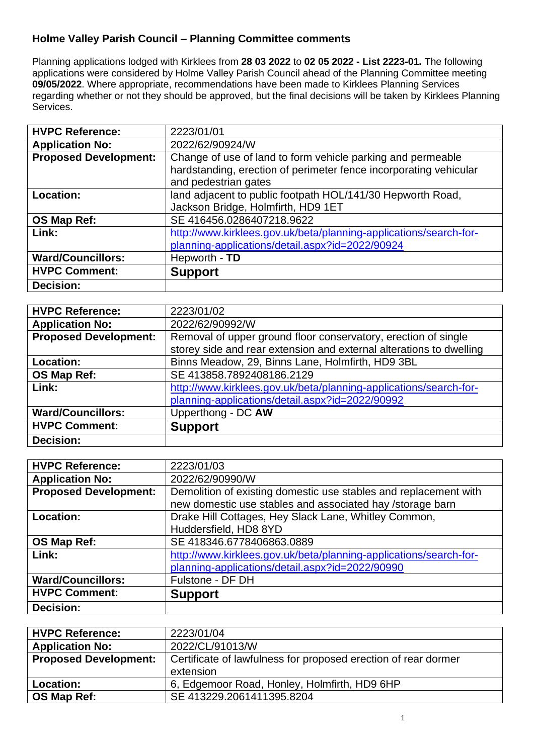## **Holme Valley Parish Council – Planning Committee comments**

**HVPC Comment: Support**

**Decision:**

Planning applications lodged with Kirklees from **28 03 2022** to **02 05 2022 - List 2223-01.** The following applications were considered by Holme Valley Parish Council ahead of the Planning Committee meeting **09/05/2022**. Where appropriate, recommendations have been made to Kirklees Planning Services regarding whether or not they should be approved, but the final decisions will be taken by Kirklees Planning Services.

| <b>HVPC Reference:</b>       | 2223/01/01                                                          |
|------------------------------|---------------------------------------------------------------------|
| <b>Application No:</b>       | 2022/62/90924/W                                                     |
| <b>Proposed Development:</b> | Change of use of land to form vehicle parking and permeable         |
|                              | hardstanding, erection of perimeter fence incorporating vehicular   |
|                              | and pedestrian gates                                                |
| Location:                    | land adjacent to public footpath HOL/141/30 Hepworth Road,          |
|                              | Jackson Bridge, Holmfirth, HD9 1ET                                  |
| OS Map Ref:                  | SE 416456.0286407218.9622                                           |
| Link:                        | http://www.kirklees.gov.uk/beta/planning-applications/search-for-   |
|                              | planning-applications/detail.aspx?id=2022/90924                     |
| <b>Ward/Councillors:</b>     | Hepworth - TD                                                       |
|                              |                                                                     |
| <b>HVPC Comment:</b>         | <b>Support</b>                                                      |
| Decision:                    |                                                                     |
|                              |                                                                     |
| <b>HVPC Reference:</b>       | 2223/01/02                                                          |
| <b>Application No:</b>       | 2022/62/90992/W                                                     |
| <b>Proposed Development:</b> | Removal of upper ground floor conservatory, erection of single      |
|                              | storey side and rear extension and external alterations to dwelling |
| Location:                    | Binns Meadow, 29, Binns Lane, Holmfirth, HD9 3BL                    |
| OS Map Ref:                  | SE 413858.7892408186.2129                                           |
| Link:                        | http://www.kirklees.gov.uk/beta/planning-applications/search-for-   |
|                              | planning-applications/detail.aspx?id=2022/90992                     |

| <b>HVPC Reference:</b>       | 2223/01/03                                                        |
|------------------------------|-------------------------------------------------------------------|
| <b>Application No:</b>       | 2022/62/90990/W                                                   |
| <b>Proposed Development:</b> | Demolition of existing domestic use stables and replacement with  |
|                              | new domestic use stables and associated hay /storage barn         |
| Location:                    | Drake Hill Cottages, Hey Slack Lane, Whitley Common,              |
|                              | Huddersfield, HD8 8YD                                             |
| OS Map Ref:                  | SE 418346.6778406863.0889                                         |
| Link:                        | http://www.kirklees.gov.uk/beta/planning-applications/search-for- |
|                              | planning-applications/detail.aspx?id=2022/90990                   |
| <b>Ward/Councillors:</b>     | Fulstone - DF DH                                                  |
| <b>HVPC Comment:</b>         | <b>Support</b>                                                    |
| <b>Decision:</b>             |                                                                   |

| <b>HVPC Reference:</b>       | 2223/01/04                                                     |
|------------------------------|----------------------------------------------------------------|
| <b>Application No:</b>       | 2022/CL/91013/W                                                |
| <b>Proposed Development:</b> | Certificate of lawfulness for proposed erection of rear dormer |
|                              | extension                                                      |
| <b>Location:</b>             | 6, Edgemoor Road, Honley, Holmfirth, HD9 6HP                   |
| <b>OS Map Ref:</b>           | SE 413229.2061411395.8204                                      |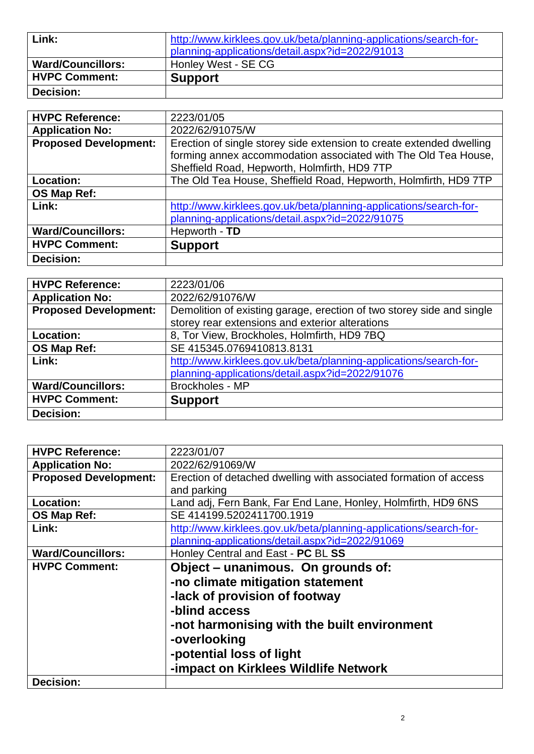| Link:                    | http://www.kirklees.gov.uk/beta/planning-applications/search-for-<br>planning-applications/detail.aspx?id=2022/91013 |
|--------------------------|----------------------------------------------------------------------------------------------------------------------|
| <b>Ward/Councillors:</b> | Honley West - SE CG                                                                                                  |
| <b>HVPC Comment:</b>     | <b>Support</b>                                                                                                       |
| <b>Decision:</b>         |                                                                                                                      |

| <b>HVPC Reference:</b>       | 2223/01/05                                                           |
|------------------------------|----------------------------------------------------------------------|
| <b>Application No:</b>       | 2022/62/91075/W                                                      |
| <b>Proposed Development:</b> | Erection of single storey side extension to create extended dwelling |
|                              | forming annex accommodation associated with The Old Tea House,       |
|                              | Sheffield Road, Hepworth, Holmfirth, HD9 7TP                         |
| <b>Location:</b>             | The Old Tea House, Sheffield Road, Hepworth, Holmfirth, HD9 7TP      |
| OS Map Ref:                  |                                                                      |
| Link:                        | http://www.kirklees.gov.uk/beta/planning-applications/search-for-    |
|                              | planning-applications/detail.aspx?id=2022/91075                      |
| <b>Ward/Councillors:</b>     | Hepworth - TD                                                        |
| <b>HVPC Comment:</b>         | <b>Support</b>                                                       |
| <b>Decision:</b>             |                                                                      |

| <b>HVPC Reference:</b>       | 2223/01/06                                                            |
|------------------------------|-----------------------------------------------------------------------|
| <b>Application No:</b>       | 2022/62/91076/W                                                       |
| <b>Proposed Development:</b> | Demolition of existing garage, erection of two storey side and single |
|                              | storey rear extensions and exterior alterations                       |
| Location:                    | 8, Tor View, Brockholes, Holmfirth, HD9 7BQ                           |
| OS Map Ref:                  | SE 415345.0769410813.8131                                             |
| Link:                        | http://www.kirklees.gov.uk/beta/planning-applications/search-for-     |
|                              | planning-applications/detail.aspx?id=2022/91076                       |
| <b>Ward/Councillors:</b>     | <b>Brockholes - MP</b>                                                |
| <b>HVPC Comment:</b>         | <b>Support</b>                                                        |
| <b>Decision:</b>             |                                                                       |

| <b>HVPC Reference:</b>       | 2223/01/07                                                        |
|------------------------------|-------------------------------------------------------------------|
| <b>Application No:</b>       | 2022/62/91069/W                                                   |
| <b>Proposed Development:</b> | Erection of detached dwelling with associated formation of access |
|                              | and parking                                                       |
| <b>Location:</b>             | Land adj, Fern Bank, Far End Lane, Honley, Holmfirth, HD9 6NS     |
| OS Map Ref:                  | SE 414199.5202411700.1919                                         |
| Link:                        | http://www.kirklees.gov.uk/beta/planning-applications/search-for- |
|                              | planning-applications/detail.aspx?id=2022/91069                   |
| <b>Ward/Councillors:</b>     | Honley Central and East - PC BL SS                                |
| <b>HVPC Comment:</b>         | Object – unanimous. On grounds of:                                |
|                              | -no climate mitigation statement                                  |
|                              | -lack of provision of footway                                     |
|                              |                                                                   |
|                              | -blind access                                                     |
|                              | -not harmonising with the built environment                       |
|                              | -overlooking                                                      |
|                              | -potential loss of light                                          |
|                              | -impact on Kirklees Wildlife Network                              |
|                              |                                                                   |
| <b>Decision:</b>             |                                                                   |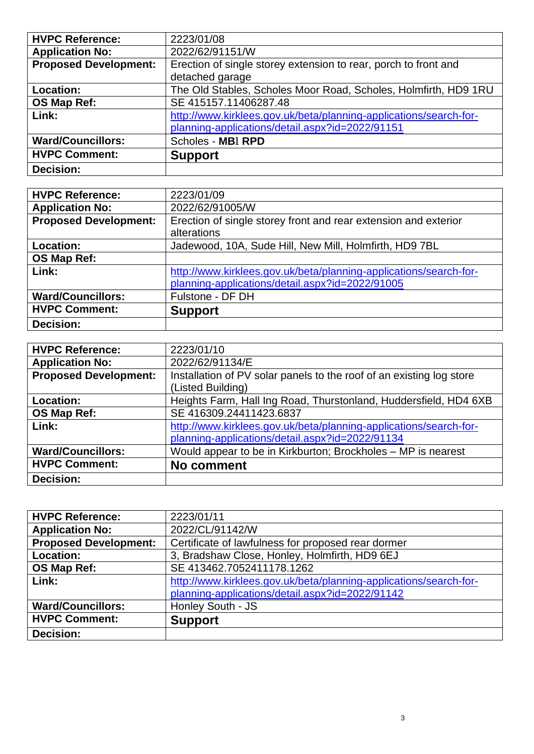| <b>HVPC Reference:</b>       | 2223/01/08                                                        |
|------------------------------|-------------------------------------------------------------------|
| <b>Application No:</b>       | 2022/62/91151/W                                                   |
| <b>Proposed Development:</b> | Erection of single storey extension to rear, porch to front and   |
|                              | detached garage                                                   |
| Location:                    | The Old Stables, Scholes Moor Road, Scholes, Holmfirth, HD9 1RU   |
| OS Map Ref:                  | SE 415157.11406287.48                                             |
| Link:                        | http://www.kirklees.gov.uk/beta/planning-applications/search-for- |
|                              | planning-applications/detail.aspx?id=2022/91151                   |
| <b>Ward/Councillors:</b>     | Scholes - MBI RPD                                                 |
| <b>HVPC Comment:</b>         | <b>Support</b>                                                    |
| Decision:                    |                                                                   |

| <b>HVPC Reference:</b>       | 2223/01/09                                                        |
|------------------------------|-------------------------------------------------------------------|
| <b>Application No:</b>       | 2022/62/91005/W                                                   |
| <b>Proposed Development:</b> | Erection of single storey front and rear extension and exterior   |
|                              | alterations                                                       |
| Location:                    | Jadewood, 10A, Sude Hill, New Mill, Holmfirth, HD9 7BL            |
| OS Map Ref:                  |                                                                   |
| Link:                        | http://www.kirklees.gov.uk/beta/planning-applications/search-for- |
|                              | planning-applications/detail.aspx?id=2022/91005                   |
| <b>Ward/Councillors:</b>     | Fulstone - DF DH                                                  |
| <b>HVPC Comment:</b>         | <b>Support</b>                                                    |
| Decision:                    |                                                                   |

| <b>HVPC Reference:</b>       | 2223/01/10                                                           |
|------------------------------|----------------------------------------------------------------------|
| <b>Application No:</b>       | 2022/62/91134/E                                                      |
| <b>Proposed Development:</b> | Installation of PV solar panels to the roof of an existing log store |
|                              | (Listed Building)                                                    |
| <b>Location:</b>             | Heights Farm, Hall Ing Road, Thurstonland, Huddersfield, HD4 6XB     |
| OS Map Ref:                  | SE 416309.24411423.6837                                              |
| Link:                        | http://www.kirklees.gov.uk/beta/planning-applications/search-for-    |
|                              | planning-applications/detail.aspx?id=2022/91134                      |
| <b>Ward/Councillors:</b>     | Would appear to be in Kirkburton; Brockholes - MP is nearest         |
| <b>HVPC Comment:</b>         | <b>No comment</b>                                                    |
| <b>Decision:</b>             |                                                                      |

| <b>HVPC Reference:</b>       | 2223/01/11                                                        |
|------------------------------|-------------------------------------------------------------------|
| <b>Application No:</b>       | 2022/CL/91142/W                                                   |
| <b>Proposed Development:</b> | Certificate of lawfulness for proposed rear dormer                |
| Location:                    | 3, Bradshaw Close, Honley, Holmfirth, HD9 6EJ                     |
| <b>OS Map Ref:</b>           | SE 413462.7052411178.1262                                         |
| Link:                        | http://www.kirklees.gov.uk/beta/planning-applications/search-for- |
|                              | planning-applications/detail.aspx?id=2022/91142                   |
| <b>Ward/Councillors:</b>     | Honley South - JS                                                 |
| <b>HVPC Comment:</b>         | <b>Support</b>                                                    |
| <b>Decision:</b>             |                                                                   |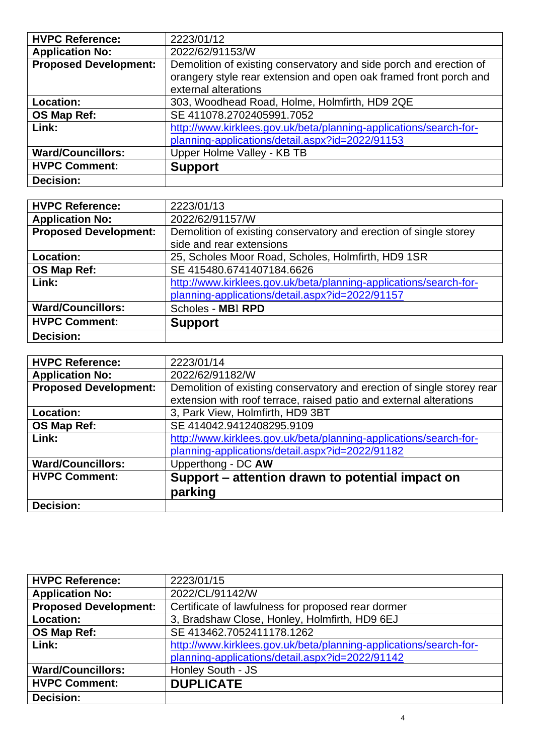| <b>HVPC Reference:</b>       | 2223/01/12                                                                                                                                                      |
|------------------------------|-----------------------------------------------------------------------------------------------------------------------------------------------------------------|
| <b>Application No:</b>       | 2022/62/91153/W                                                                                                                                                 |
| <b>Proposed Development:</b> | Demolition of existing conservatory and side porch and erection of<br>orangery style rear extension and open oak framed front porch and<br>external alterations |
| <b>Location:</b>             | 303, Woodhead Road, Holme, Holmfirth, HD9 2QE                                                                                                                   |
| OS Map Ref:                  | SE 411078.2702405991.7052                                                                                                                                       |
| Link:                        | http://www.kirklees.gov.uk/beta/planning-applications/search-for-<br>planning-applications/detail.aspx?id=2022/91153                                            |
| <b>Ward/Councillors:</b>     | Upper Holme Valley - KB TB                                                                                                                                      |
| <b>HVPC Comment:</b>         | <b>Support</b>                                                                                                                                                  |
| <b>Decision:</b>             |                                                                                                                                                                 |

| <b>HVPC Reference:</b>       | 2223/01/13                                                        |
|------------------------------|-------------------------------------------------------------------|
| <b>Application No:</b>       | 2022/62/91157/W                                                   |
| <b>Proposed Development:</b> | Demolition of existing conservatory and erection of single storey |
|                              | side and rear extensions                                          |
| Location:                    | 25, Scholes Moor Road, Scholes, Holmfirth, HD9 1SR                |
| OS Map Ref:                  | SE 415480.6741407184.6626                                         |
| Link:                        | http://www.kirklees.gov.uk/beta/planning-applications/search-for- |
|                              | planning-applications/detail.aspx?id=2022/91157                   |
| <b>Ward/Councillors:</b>     | Scholes - MBI RPD                                                 |
| <b>HVPC Comment:</b>         | <b>Support</b>                                                    |
| <b>Decision:</b>             |                                                                   |

| <b>HVPC Reference:</b>       | 2223/01/14                                                             |
|------------------------------|------------------------------------------------------------------------|
| <b>Application No:</b>       | 2022/62/91182/W                                                        |
| <b>Proposed Development:</b> | Demolition of existing conservatory and erection of single storey rear |
|                              | extension with roof terrace, raised patio and external alterations     |
| Location:                    | 3, Park View, Holmfirth, HD9 3BT                                       |
| OS Map Ref:                  | SE 414042.9412408295.9109                                              |
| Link:                        | http://www.kirklees.gov.uk/beta/planning-applications/search-for-      |
|                              | planning-applications/detail.aspx?id=2022/91182                        |
| <b>Ward/Councillors:</b>     | Upperthong - DC AW                                                     |
| <b>HVPC Comment:</b>         | Support – attention drawn to potential impact on                       |
|                              | parking                                                                |
| <b>Decision:</b>             |                                                                        |

| <b>HVPC Reference:</b>       | 2223/01/15                                                        |
|------------------------------|-------------------------------------------------------------------|
| <b>Application No:</b>       | 2022/CL/91142/W                                                   |
| <b>Proposed Development:</b> | Certificate of lawfulness for proposed rear dormer                |
| <b>Location:</b>             | 3, Bradshaw Close, Honley, Holmfirth, HD9 6EJ                     |
| <b>OS Map Ref:</b>           | SE 413462.7052411178.1262                                         |
| Link:                        | http://www.kirklees.gov.uk/beta/planning-applications/search-for- |
|                              | planning-applications/detail.aspx?id=2022/91142                   |
| <b>Ward/Councillors:</b>     | Honley South - JS                                                 |
| <b>HVPC Comment:</b>         | <b>DUPLICATE</b>                                                  |
| Decision:                    |                                                                   |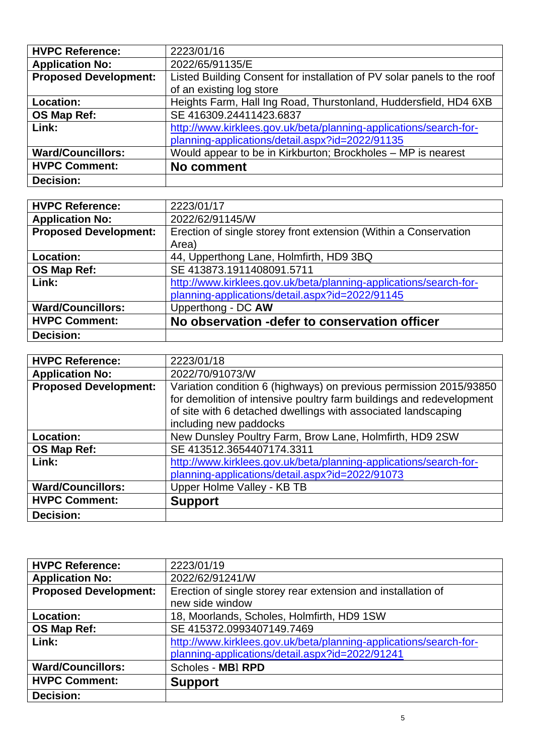| <b>HVPC Reference:</b>       | 2223/01/16                                                              |
|------------------------------|-------------------------------------------------------------------------|
| <b>Application No:</b>       | 2022/65/91135/E                                                         |
| <b>Proposed Development:</b> | Listed Building Consent for installation of PV solar panels to the roof |
|                              | of an existing log store                                                |
| Location:                    | Heights Farm, Hall Ing Road, Thurstonland, Huddersfield, HD4 6XB        |
| OS Map Ref:                  | SE 416309.24411423.6837                                                 |
| Link:                        | http://www.kirklees.gov.uk/beta/planning-applications/search-for-       |
|                              | planning-applications/detail.aspx?id=2022/91135                         |
| <b>Ward/Councillors:</b>     | Would appear to be in Kirkburton; Brockholes - MP is nearest            |
| <b>HVPC Comment:</b>         | <b>No comment</b>                                                       |
| <b>Decision:</b>             |                                                                         |

| <b>HVPC Reference:</b>       | 2223/01/17                                                        |
|------------------------------|-------------------------------------------------------------------|
| <b>Application No:</b>       | 2022/62/91145/W                                                   |
| <b>Proposed Development:</b> | Erection of single storey front extension (Within a Conservation  |
|                              | Area)                                                             |
| <b>Location:</b>             | 44, Upperthong Lane, Holmfirth, HD9 3BQ                           |
| OS Map Ref:                  | SE 413873.1911408091.5711                                         |
| Link:                        | http://www.kirklees.gov.uk/beta/planning-applications/search-for- |
|                              | planning-applications/detail.aspx?id=2022/91145                   |
| <b>Ward/Councillors:</b>     | Upperthong - DC AW                                                |
| <b>HVPC Comment:</b>         | No observation - defer to conservation officer                    |
| <b>Decision:</b>             |                                                                   |

| <b>HVPC Reference:</b>       | 2223/01/18                                                                                                                                                                                                                            |
|------------------------------|---------------------------------------------------------------------------------------------------------------------------------------------------------------------------------------------------------------------------------------|
| <b>Application No:</b>       | 2022/70/91073/W                                                                                                                                                                                                                       |
| <b>Proposed Development:</b> | Variation condition 6 (highways) on previous permission 2015/93850<br>for demolition of intensive poultry farm buildings and redevelopment<br>of site with 6 detached dwellings with associated landscaping<br>including new paddocks |
| <b>Location:</b>             | New Dunsley Poultry Farm, Brow Lane, Holmfirth, HD9 2SW                                                                                                                                                                               |
| OS Map Ref:                  | SE 413512.3654407174.3311                                                                                                                                                                                                             |
| Link:                        | http://www.kirklees.gov.uk/beta/planning-applications/search-for-<br>planning-applications/detail.aspx?id=2022/91073                                                                                                                  |
| <b>Ward/Councillors:</b>     | Upper Holme Valley - KB TB                                                                                                                                                                                                            |
| <b>HVPC Comment:</b>         | <b>Support</b>                                                                                                                                                                                                                        |
| <b>Decision:</b>             |                                                                                                                                                                                                                                       |

| <b>HVPC Reference:</b>       | 2223/01/19                                                        |
|------------------------------|-------------------------------------------------------------------|
| <b>Application No:</b>       | 2022/62/91241/W                                                   |
| <b>Proposed Development:</b> | Erection of single storey rear extension and installation of      |
|                              | new side window                                                   |
| Location:                    | 18, Moorlands, Scholes, Holmfirth, HD9 1SW                        |
| OS Map Ref:                  | SE 415372.0993407149.7469                                         |
| Link:                        | http://www.kirklees.gov.uk/beta/planning-applications/search-for- |
|                              | planning-applications/detail.aspx?id=2022/91241                   |
| <b>Ward/Councillors:</b>     | Scholes - MBI RPD                                                 |
| <b>HVPC Comment:</b>         | <b>Support</b>                                                    |
| <b>Decision:</b>             |                                                                   |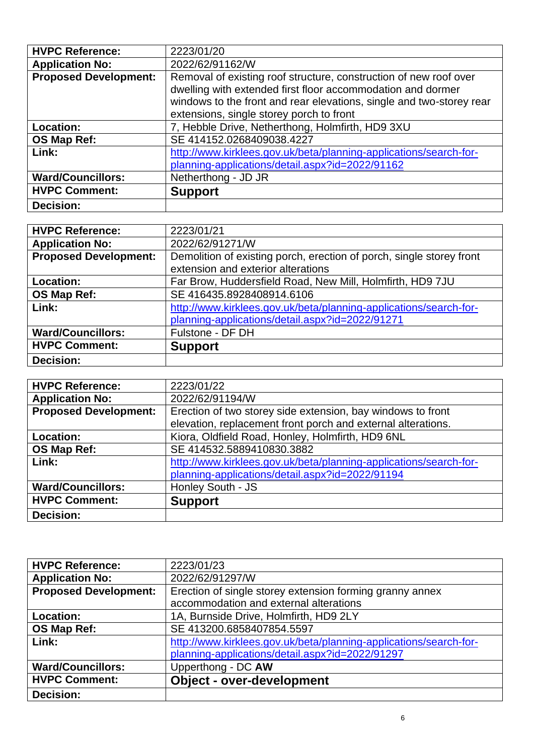| <b>HVPC Reference:</b>       | 2223/01/20                                                                                                                                                                                                                                           |
|------------------------------|------------------------------------------------------------------------------------------------------------------------------------------------------------------------------------------------------------------------------------------------------|
| <b>Application No:</b>       | 2022/62/91162/W                                                                                                                                                                                                                                      |
| <b>Proposed Development:</b> | Removal of existing roof structure, construction of new roof over<br>dwelling with extended first floor accommodation and dormer<br>windows to the front and rear elevations, single and two-storey rear<br>extensions, single storey porch to front |
| Location:                    | 7, Hebble Drive, Netherthong, Holmfirth, HD9 3XU                                                                                                                                                                                                     |
| OS Map Ref:                  | SE 414152.0268409038.4227                                                                                                                                                                                                                            |
| Link:                        | http://www.kirklees.gov.uk/beta/planning-applications/search-for-<br>planning-applications/detail.aspx?id=2022/91162                                                                                                                                 |
| <b>Ward/Councillors:</b>     | Netherthong - JD JR                                                                                                                                                                                                                                  |
| <b>HVPC Comment:</b>         | <b>Support</b>                                                                                                                                                                                                                                       |
| <b>Decision:</b>             |                                                                                                                                                                                                                                                      |

| <b>HVPC Reference:</b>       | 2223/01/21                                                           |
|------------------------------|----------------------------------------------------------------------|
| <b>Application No:</b>       | 2022/62/91271/W                                                      |
| <b>Proposed Development:</b> | Demolition of existing porch, erection of porch, single storey front |
|                              | extension and exterior alterations                                   |
| Location:                    | Far Brow, Huddersfield Road, New Mill, Holmfirth, HD9 7JU            |
| OS Map Ref:                  | SE 416435.8928408914.6106                                            |
| Link:                        | http://www.kirklees.gov.uk/beta/planning-applications/search-for-    |
|                              | planning-applications/detail.aspx?id=2022/91271                      |
| <b>Ward/Councillors:</b>     | Fulstone - DF DH                                                     |
| <b>HVPC Comment:</b>         | <b>Support</b>                                                       |
| Decision:                    |                                                                      |

| <b>HVPC Reference:</b>       | 2223/01/22                                                        |
|------------------------------|-------------------------------------------------------------------|
| <b>Application No:</b>       | 2022/62/91194/W                                                   |
| <b>Proposed Development:</b> | Erection of two storey side extension, bay windows to front       |
|                              | elevation, replacement front porch and external alterations.      |
| Location:                    | Kiora, Oldfield Road, Honley, Holmfirth, HD9 6NL                  |
| OS Map Ref:                  | SE 414532.5889410830.3882                                         |
| Link:                        | http://www.kirklees.gov.uk/beta/planning-applications/search-for- |
|                              | planning-applications/detail.aspx?id=2022/91194                   |
| <b>Ward/Councillors:</b>     | Honley South - JS                                                 |
| <b>HVPC Comment:</b>         | <b>Support</b>                                                    |
| Decision:                    |                                                                   |

| <b>HVPC Reference:</b>       | 2223/01/23                                                        |
|------------------------------|-------------------------------------------------------------------|
| <b>Application No:</b>       | 2022/62/91297/W                                                   |
| <b>Proposed Development:</b> | Erection of single storey extension forming granny annex          |
|                              | accommodation and external alterations                            |
| Location:                    | 1A, Burnside Drive, Holmfirth, HD9 2LY                            |
| OS Map Ref:                  | SE 413200.6858407854.5597                                         |
| Link:                        | http://www.kirklees.gov.uk/beta/planning-applications/search-for- |
|                              | planning-applications/detail.aspx?id=2022/91297                   |
| <b>Ward/Councillors:</b>     | Upperthong - DC AW                                                |
| <b>HVPC Comment:</b>         | <b>Object - over-development</b>                                  |
| <b>Decision:</b>             |                                                                   |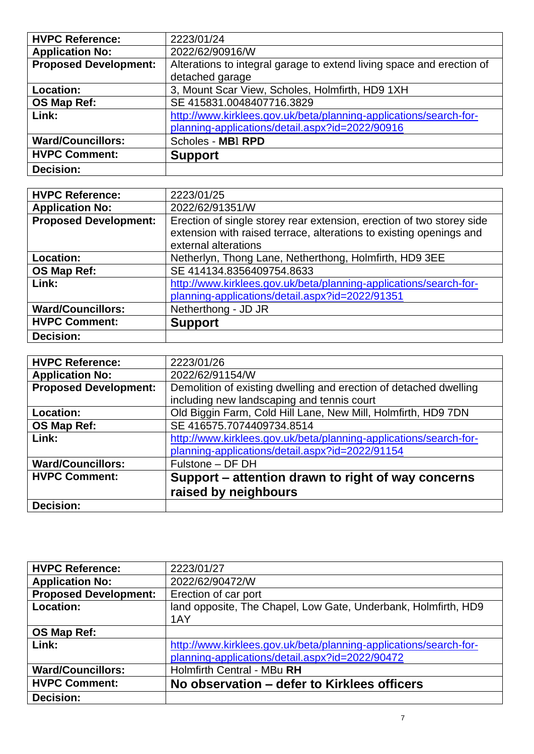| <b>HVPC Reference:</b>       | 2223/01/24                                                                                                           |
|------------------------------|----------------------------------------------------------------------------------------------------------------------|
| <b>Application No:</b>       | 2022/62/90916/W                                                                                                      |
| <b>Proposed Development:</b> | Alterations to integral garage to extend living space and erection of<br>detached garage                             |
| <b>Location:</b>             | 3, Mount Scar View, Scholes, Holmfirth, HD9 1XH                                                                      |
| OS Map Ref:                  | SE 415831.0048407716.3829                                                                                            |
| Link:                        | http://www.kirklees.gov.uk/beta/planning-applications/search-for-<br>planning-applications/detail.aspx?id=2022/90916 |
| <b>Ward/Councillors:</b>     | Scholes - MBI RPD                                                                                                    |
| <b>HVPC Comment:</b>         | <b>Support</b>                                                                                                       |
| Decision:                    |                                                                                                                      |

| <b>HVPC Reference:</b>       | 2223/01/25                                                                                                                                   |
|------------------------------|----------------------------------------------------------------------------------------------------------------------------------------------|
| <b>Application No:</b>       | 2022/62/91351/W                                                                                                                              |
| <b>Proposed Development:</b> | Erection of single storey rear extension, erection of two storey side<br>extension with raised terrace, alterations to existing openings and |
|                              | external alterations                                                                                                                         |
| <b>Location:</b>             | Netherlyn, Thong Lane, Netherthong, Holmfirth, HD9 3EE                                                                                       |
| OS Map Ref:                  | SE 414134.8356409754.8633                                                                                                                    |
| Link:                        | http://www.kirklees.gov.uk/beta/planning-applications/search-for-                                                                            |
|                              | planning-applications/detail.aspx?id=2022/91351                                                                                              |
| <b>Ward/Councillors:</b>     | Netherthong - JD JR                                                                                                                          |
| <b>HVPC Comment:</b>         | <b>Support</b>                                                                                                                               |
| <b>Decision:</b>             |                                                                                                                                              |

| <b>HVPC Reference:</b>       | 2223/01/26                                                        |
|------------------------------|-------------------------------------------------------------------|
| <b>Application No:</b>       | 2022/62/91154/W                                                   |
| <b>Proposed Development:</b> | Demolition of existing dwelling and erection of detached dwelling |
|                              | including new landscaping and tennis court                        |
| <b>Location:</b>             | Old Biggin Farm, Cold Hill Lane, New Mill, Holmfirth, HD9 7DN     |
| OS Map Ref:                  | SE 416575.7074409734.8514                                         |
| Link:                        | http://www.kirklees.gov.uk/beta/planning-applications/search-for- |
|                              | planning-applications/detail.aspx?id=2022/91154                   |
| <b>Ward/Councillors:</b>     | Fulstone - DF DH                                                  |
| <b>HVPC Comment:</b>         | Support – attention drawn to right of way concerns                |
|                              | raised by neighbours                                              |
| <b>Decision:</b>             |                                                                   |

| <b>HVPC Reference:</b>       | 2223/01/27                                                        |
|------------------------------|-------------------------------------------------------------------|
| <b>Application No:</b>       | 2022/62/90472/W                                                   |
| <b>Proposed Development:</b> | Erection of car port                                              |
| Location:                    | land opposite, The Chapel, Low Gate, Underbank, Holmfirth, HD9    |
|                              | 1AY                                                               |
| OS Map Ref:                  |                                                                   |
| Link:                        | http://www.kirklees.gov.uk/beta/planning-applications/search-for- |
|                              | planning-applications/detail.aspx?id=2022/90472                   |
| <b>Ward/Councillors:</b>     | Holmfirth Central - MBu RH                                        |
| <b>HVPC Comment:</b>         | No observation – defer to Kirklees officers                       |
| <b>Decision:</b>             |                                                                   |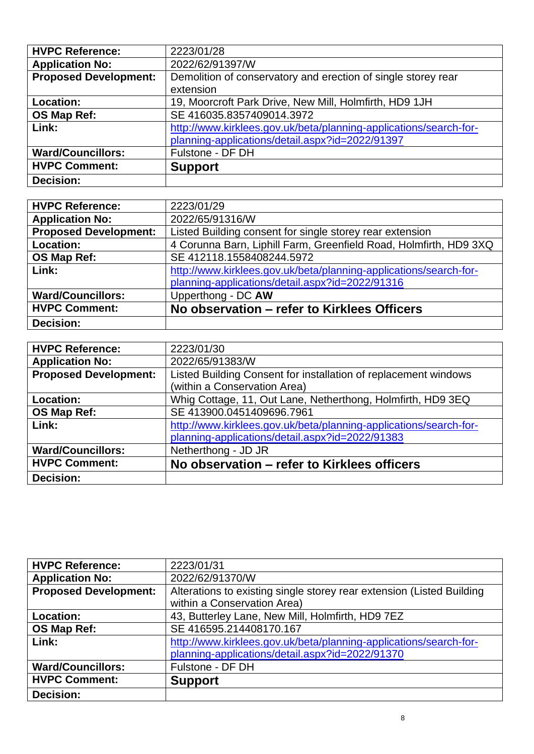| <b>HVPC Reference:</b>       | 2223/01/28                                                        |
|------------------------------|-------------------------------------------------------------------|
| <b>Application No:</b>       | 2022/62/91397/W                                                   |
| <b>Proposed Development:</b> | Demolition of conservatory and erection of single storey rear     |
|                              | extension                                                         |
| Location:                    | 19, Moorcroft Park Drive, New Mill, Holmfirth, HD9 1JH            |
| OS Map Ref:                  | SE 416035.8357409014.3972                                         |
| Link:                        | http://www.kirklees.gov.uk/beta/planning-applications/search-for- |
|                              | planning-applications/detail.aspx?id=2022/91397                   |
| <b>Ward/Councillors:</b>     | Fulstone - DF DH                                                  |
| <b>HVPC Comment:</b>         | <b>Support</b>                                                    |
| <b>Decision:</b>             |                                                                   |

| <b>HVPC Reference:</b>       | 2223/01/29                                                        |
|------------------------------|-------------------------------------------------------------------|
| <b>Application No:</b>       | 2022/65/91316/W                                                   |
| <b>Proposed Development:</b> | Listed Building consent for single storey rear extension          |
| Location:                    | 4 Corunna Barn, Liphill Farm, Greenfield Road, Holmfirth, HD9 3XQ |
| OS Map Ref:                  | SE 412118.1558408244.5972                                         |
| Link:                        | http://www.kirklees.gov.uk/beta/planning-applications/search-for- |
|                              | planning-applications/detail.aspx?id=2022/91316                   |
| <b>Ward/Councillors:</b>     | Upperthong - DC AW                                                |
| <b>HVPC Comment:</b>         | No observation - refer to Kirklees Officers                       |
| <b>Decision:</b>             |                                                                   |

| <b>HVPC Reference:</b>       | 2223/01/30                                                        |
|------------------------------|-------------------------------------------------------------------|
| <b>Application No:</b>       | 2022/65/91383/W                                                   |
| <b>Proposed Development:</b> | Listed Building Consent for installation of replacement windows   |
|                              | (within a Conservation Area)                                      |
| <b>Location:</b>             | Whig Cottage, 11, Out Lane, Netherthong, Holmfirth, HD9 3EQ       |
| OS Map Ref:                  | SE 413900.0451409696.7961                                         |
| Link:                        | http://www.kirklees.gov.uk/beta/planning-applications/search-for- |
|                              | planning-applications/detail.aspx?id=2022/91383                   |
| <b>Ward/Councillors:</b>     | Netherthong - JD JR                                               |
| <b>HVPC Comment:</b>         | No observation – refer to Kirklees officers                       |
| <b>Decision:</b>             |                                                                   |

| <b>HVPC Reference:</b>       | 2223/01/31                                                            |
|------------------------------|-----------------------------------------------------------------------|
| <b>Application No:</b>       | 2022/62/91370/W                                                       |
| <b>Proposed Development:</b> | Alterations to existing single storey rear extension (Listed Building |
|                              | within a Conservation Area)                                           |
| Location:                    | 43, Butterley Lane, New Mill, Holmfirth, HD9 7EZ                      |
| OS Map Ref:                  | SE 416595.214408170.167                                               |
| Link:                        | http://www.kirklees.gov.uk/beta/planning-applications/search-for-     |
|                              | planning-applications/detail.aspx?id=2022/91370                       |
| <b>Ward/Councillors:</b>     | Fulstone - DF DH                                                      |
| <b>HVPC Comment:</b>         | <b>Support</b>                                                        |
| <b>Decision:</b>             |                                                                       |